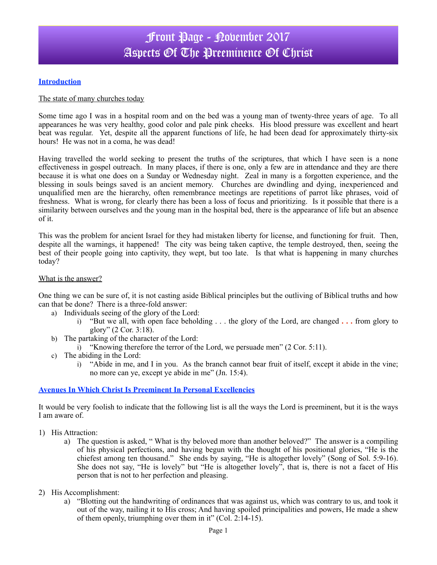# Front Page - November 2017 Aspects Of The Preeminence Of Christ

### **Introduction**

### The state of many churches today

Some time ago I was in a hospital room and on the bed was a young man of twenty-three years of age. To all appearances he was very healthy, good color and pale pink cheeks. His blood pressure was excellent and heart beat was regular. Yet, despite all the apparent functions of life, he had been dead for approximately thirty-six hours! He was not in a coma, he was dead!

Having travelled the world seeking to present the truths of the scriptures, that which I have seen is a none effectiveness in gospel outreach. In many places, if there is one, only a few are in attendance and they are there because it is what one does on a Sunday or Wednesday night. Zeal in many is a forgotten experience, and the blessing in souls beings saved is an ancient memory. Churches are dwindling and dying, inexperienced and unqualified men are the hierarchy, often remembrance meetings are repetitions of parrot like phrases, void of freshness. What is wrong, for clearly there has been a loss of focus and prioritizing. Is it possible that there is a similarity between ourselves and the young man in the hospital bed, there is the appearance of life but an absence of it.

This was the problem for ancient Israel for they had mistaken liberty for license, and functioning for fruit. Then, despite all the warnings, it happened! The city was being taken captive, the temple destroyed, then, seeing the best of their people going into captivity, they wept, but too late. Is that what is happening in many churches today?

#### What is the answer?

One thing we can be sure of, it is not casting aside Biblical principles but the outliving of Biblical truths and how can that be done? There is a three-fold answer:

- a) Individuals seeing of the glory of the Lord:
	- i) "But we all, with open face beholding . . . the glory of the Lord, are changed **. . .** from glory to glory" (2 Cor. 3:18).
- b) The partaking of the character of the Lord:
	- i) "Knowing therefore the terror of the Lord, we persuade men" (2 Cor. 5:11).
- c) The abiding in the Lord:
	- i) "Abide in me, and I in you. As the branch cannot bear fruit of itself, except it abide in the vine; no more can ye, except ye abide in me" (Jn. 15:4).

#### **Avenues In Which Christ Is Preeminent In Personal Excellencies**

It would be very foolish to indicate that the following list is all the ways the Lord is preeminent, but it is the ways I am aware of.

- 1) His Attraction:
	- a) The question is asked, " What is thy beloved more than another beloved?" The answer is a compiling of his physical perfections, and having begun with the thought of his positional glories, "He is the chiefest among ten thousand." She ends by saying, "He is altogether lovely" (Song of Sol. 5:9-16). She does not say, "He is lovely" but "He is altogether lovely", that is, there is not a facet of His person that is not to her perfection and pleasing.
- 2) His Accomplishment:
	- a) "Blotting out the handwriting of ordinances that was against us, which was contrary to us, and took it out of the way, nailing it to His cross; And having spoiled principalities and powers, He made a shew of them openly, triumphing over them in it"  $(Col. 2:14-15)$ .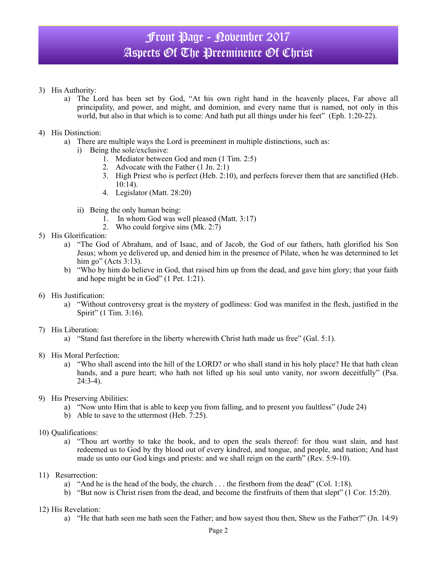# Front Page - November 2017 Aspects Of The Preeminence Of Christ

- 3) His Authority:
	- a) The Lord has been set by God, "At his own right hand in the heavenly places, Far above all principality, and power, and might, and dominion, and every name that is named, not only in this world, but also in that which is to come: And hath put all things under his feet" (Eph. 1:20-22).
- 4) His Distinction:
	- a) There are multiple ways the Lord is preeminent in multiple distinctions, such as:
		- i) Being the sole/exclusive:
			- 1. Mediator between God and men (1 Tim. 2:5)
			- 2. Advocate with the Father (1 Jn. 2:1)
			- 3. High Priest who is perfect (Heb. 2:10), and perfects forever them that are sanctified (Heb. 10:14).
			- 4. Legislator (Matt. 28:20)
		- ii) Being the only human being:
			- 1. In whom God was well pleased (Matt. 3:17)
			- 2. Who could forgive sins (Mk. 2:7)
- 5) His Glorification:
	- a) "The God of Abraham, and of Isaac, and of Jacob, the God of our fathers, hath glorified his Son Jesus; whom ye delivered up, and denied him in the presence of Pilate, when he was determined to let him go" (Acts 3:13).
	- b) "Who by him do believe in God, that raised him up from the dead, and gave him glory; that your faith and hope might be in God" (1 Pet. 1:21).
- 6) His Justification:
	- a) "Without controversy great is the mystery of godliness: God was manifest in the flesh, justified in the Spirit" (1 Tim. 3:16).
- 7) His Liberation:
	- a) "Stand fast therefore in the liberty wherewith Christ hath made us free" (Gal. 5:1).
- 8) His Moral Perfection:
	- a) "Who shall ascend into the hill of the LORD? or who shall stand in his holy place? He that hath clean hands, and a pure heart; who hath not lifted up his soul unto vanity, nor sworn deceitfully" (Psa.  $24:3-4$ ).
- 9) His Preserving Abilities:
	- a) "Now unto Him that is able to keep you from falling, and to present you faultless" (Jude 24)
	- b) Able to save to the uttermost (Heb. 7:25).
- 10) Qualifications:
	- a) "Thou art worthy to take the book, and to open the seals thereof: for thou wast slain, and hast redeemed us to God by thy blood out of every kindred, and tongue, and people, and nation; And hast made us unto our God kings and priests: and we shall reign on the earth" (Rev. 5:9-10).
- 11) Resurrection:
	- a) "And he is the head of the body, the church  $\ldots$  the firstborn from the dead" (Col. 1:18).
	- b) "But now is Christ risen from the dead, and become the firstfruits of them that slept" (1 Cor. 15:20).
- 12) His Revelation:
	- a) "He that hath seen me hath seen the Father; and how sayest thou then, Shew us the Father?" (Jn. 14:9)